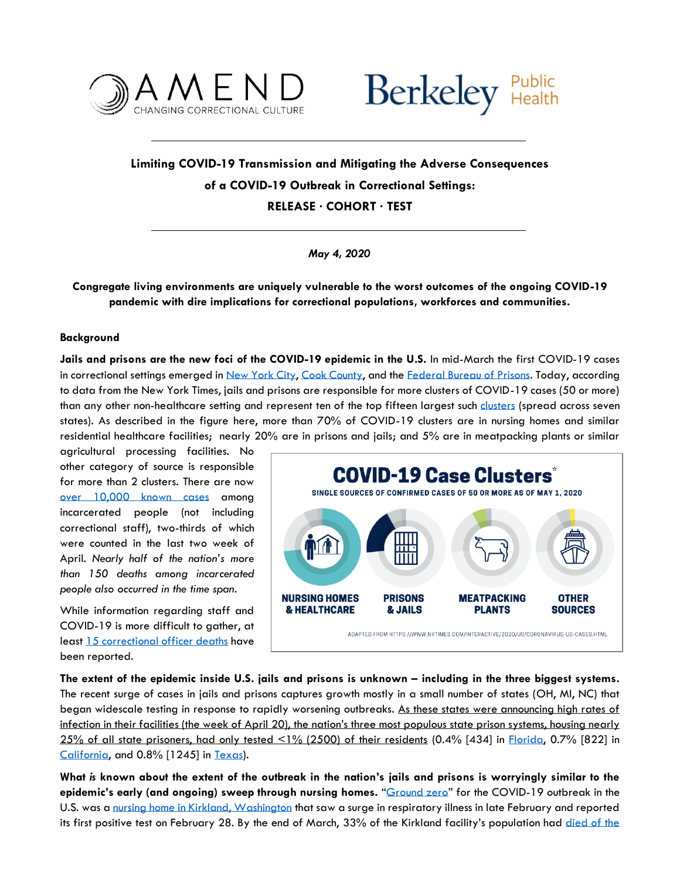



## **Limiting COVID-19 Transmission and Mitigating the Adverse Consequences of a COVID-19 Outbreak in Correctional Settings:**

**RELEASE · COHORT · TEST**

*May 4, 2020*

## **Congregate living environments are uniquely vulnerable to the worst outcomes of the ongoing COVID-19 pandemic with dire implications for correctional populations, workforces and communities.**

## **Background**

**Jails and prisons are the new foci of the COVID-19 epidemic in the U.S.** In mid-March the first COVID-19 cases in correctional settings emerged i[n New York City,](https://nypost.com/2020/03/18/first-rikers-island-inmate-tests-positive-for-coronavirus/) [Cook County,](https://www.cbsnews.com/news/chicago-cook-county-jail-coronavirus-life-inside-covid-19-cases/) and the [Federal Bureau of Prisons.](https://www.bop.gov/coronavirus/) Today, according to data from the New York Times, jails and prisons are responsible for more clusters of COVID-19 cases (50 or more) than any other non-healthcare setting and represent ten of the top fifteen largest such [clusters](https://www.nytimes.com/interactive/2020/us/coronavirus-us-cases.html) (spread across seven states). As described in the figure here, more than 70% of COVID-19 clusters are in nursing homes and similar residential healthcare facilities; nearly 20% are in prisons and jails; and 5% are in meatpacking plants or similar

agricultural processing facilities. No other category of source is responsible for more than 2 clusters. There are now over [10,000 known cases](https://www.themarshallproject.org/2020/04/24/tracking-the-spread-of-coronavirus-in-prisons) among incarcerated people (not including correctional staff), two-thirds of which were counted in the last two week of April. *Nearly half of the nation's more than 150 deaths among incarcerated people also occurred in the time span.*

While information regarding staff and COVID-19 is more difficult to gather, at least [15 correctional officer deaths](https://www.correctionsone.com/coronavirus-covid-19/articles/covid-19-corrections-deaths-CF3nGFJe7JyxzB6c/) have been reported.



**The extent of the epidemic inside U.S. jails and prisons is unknown – including in the three biggest systems.** The recent surge of cases in jails and prisons captures growth mostly in a small number of states (OH, MI, NC) that began widescale testing in response to rapidly worsening outbreaks. As these states were announcing high rates of infection in their facilities (the week of April 20), the nation's three most populous state prison systems, housing nearly 25% of all state prisoners, had only tested <1% (2500) of their residents (0.4% [434] in [Florida,](http://www.dc.state.fl.us/comm/covid-19.html#testing) 0.7% [822] in [California,](https://www.cdcr.ca.gov/covid19/population-status-tracking/) and 0.8% [1245] in [Texas\)](https://www.tdcj.texas.gov/covid-19/offender_mac.html).

**What** *is* **known about the extent of the outbreak in the nation's jails and prisons is worryingly similar to the epidemic's early (and ongoing) sweep through nursing homes.** "[Ground zero](https://jamanetwork.com/channels/health-forum/fullarticle/2763666)" for the COVID-19 outbreak in the U.S. was [a nursing home in Kirkland, Washington](https://www.wsj.com/articles/one-nursing-home-35-coronavirus-deaths-inside-the-kirkland-disaster-11584982494) that saw a surge in respiratory illness in late February and reported its first positive test on February 28. By the end of March, 33% of the Kirkland facility's population had died of the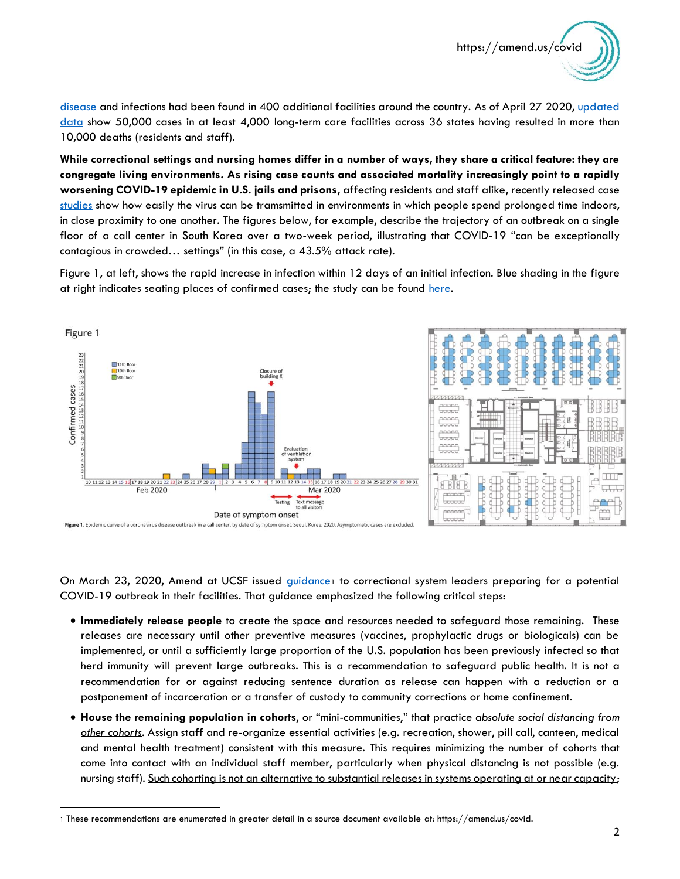

[disease](https://www.nejm.org/doi/full/10.1056/NEJMoa2005412) and infections had been found in 400 additional facilities around the country. As of April 27 2020, updated [data](https://www.kff.org/medicaid/issue-brief/state-reporting-of-cases-and-deaths-due-to-covid-19-in-long-term-care-facilities/) show 50,000 cases in at least 4,000 long-term care facilities across 36 states having resulted in more than 10,000 deaths (residents and staff).

**While correctional settings and nursing homes differ in a number of ways, they share a critical feature: they are congregate living environments. As rising case counts and associated mortality increasingly point to a rapidly worsening COVID-19 epidemic in U.S. jails and prisons**, affecting residents and staff alike, recently released case [studies](https://wwwnc.cdc.gov/eid/article/26/7/20-0764_article) show how easily the virus can be tramsmitted in environments in which people spend prolonged time indoors, in close proximity to one another. The figures below, for example, describe the trajectory of an outbreak on a single floor of a call center in South Korea over a two-week period, illustrating that COVID-19 "can be exceptionally contagious in crowded… settings" (in this case, a 43.5% attack rate).

Figure 1, at left, shows the rapid increase in infection within 12 days of an initial infection. Blue shading in the figure at right indicates seating places of confirmed cases; the study can be found [here.](https://wwwnc.cdc.gov/eid/article/26/8/20-1274_article)



On March 23, 2020, Amend at UCSF issued [guidance](https://amend.us/wp-content/uploads/2020/03/COVID-in-Corrections-Challenges-and-Solutions-1.pdf)1 to correctional system leaders preparing for a potential COVID-19 outbreak in their facilities. That guidance emphasized the following critical steps:

- **Immediately release people** to create the space and resources needed to safeguard those remaining. These releases are necessary until other preventive measures (vaccines, prophylactic drugs or biologicals) can be implemented, or until a sufficiently large proportion of the U.S. population has been previously infected so that herd immunity will prevent large outbreaks. This is a recommendation to safeguard public health. It is not a recommendation for or against reducing sentence duration as release can happen with a reduction or a postponement of incarceration or a transfer of custody to community corrections or home confinement.
- **House the remaining population in cohorts**, or "mini-communities," that practice *absolute social distancing from other cohorts*. Assign staff and re-organize essential activities (e.g. recreation, shower, pill call, canteen, medical and mental health treatment) consistent with this measure. This requires minimizing the number of cohorts that come into contact with an individual staff member, particularly when physical distancing is not possible (e.g. nursing staff). Such cohorting is not an alternative to substantial releases in systems operating at or near capacity;

<sup>1</sup> These recommendations are enumerated in greater detail in a source document available at: https://amend.us/covid.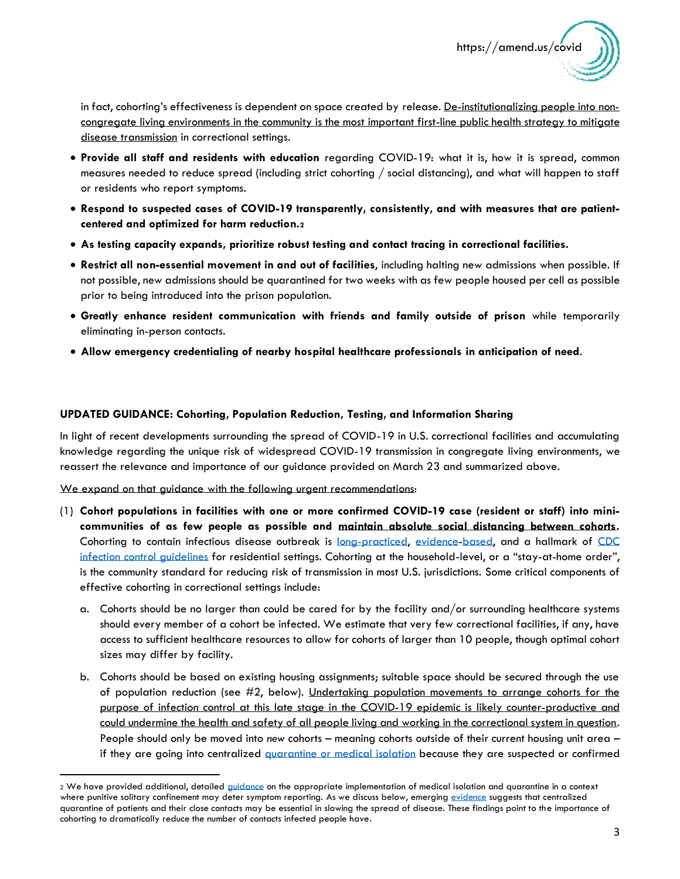in fact, cohorting's effectiveness is dependent on space created by release. De-institutionalizing people into noncongregate living environments in the community is the most important first-line public health strategy to mitigate disease transmission in correctional settings.

- **Provide all staff and residents with education** regarding COVID-19: what it is, how it is spread, common measures needed to reduce spread (including strict cohorting / social distancing), and what will happen to staff or residents who report symptoms.
- **Respond to suspected cases of COVID-19 transparently, consistently, and with measures that are patientcentered and optimized for harm reduction.<sup>2</sup>**
- **As testing capacity expands, prioritize robust testing and contact tracing in correctional facilities.**
- **Restrict all non-essential movement in and out of facilities**, including halting new admissions when possible. If not possible, new admissions should be quarantined for two weeks with as few people housed per cell as possible prior to being introduced into the prison population.
- **Greatly enhance resident communication with friends and family outside of prison** while temporarily eliminating in-person contacts.
- **Allow emergency credentialing of nearby hospital healthcare professionals in anticipation of need**.

## **UPDATED GUIDANCE: Cohorting, Population Reduction, Testing, and Information Sharing**

In light of recent developments surrounding the spread of COVID-19 in U.S. correctional facilities and accumulating knowledge regarding the unique risk of widespread COVID-19 transmission in congregate living environments, we reassert the relevance and importance of our guidance provided on March 23 and summarized above.

We expand on that guidance with the following urgent recommendations:

- (1) **Cohort populations in facilities with one or more confirmed COVID-19 case (resident or staff) into minicommunities of as few people as possible and maintain absolute social distancing between cohorts.** Cohorting to contain infectious disease outbreak is [long-practiced,](https://www.ncbi.nlm.nih.gov/pmc/articles/PMC4845677/) [evidence](https://www.ncbi.nlm.nih.gov/pubmed/12767848)[-based,](https://www.ncbi.nlm.nih.gov/pubmed/8227890) and a hallmark of [CDC](https://www.cdc.gov/infectioncontrol/guidelines/isolation/prevention.html#g)  [infection control guidelines](https://www.cdc.gov/infectioncontrol/guidelines/isolation/prevention.html#g) for residential settings. Cohorting at the household-level, or a "stay-at-home order", is the community standard for reducing risk of transmission in most U.S. jurisdictions. Some critical components of effective cohorting in correctional settings include:
	- a. Cohorts should be no larger than could be cared for by the facility and/or surrounding healthcare systems should every member of a cohort be infected. We estimate that very few correctional facilities, if any, have access to sufficient healthcare resources to allow for cohorts of larger than 10 people, though optimal cohort sizes may differ by facility.
	- b. Cohorts should be based on existing housing assignments; suitable space should be secured through the use of population reduction (see #2, below). Undertaking population movements to arrange cohorts for the purpose of infection control at this late stage in the COVID-19 epidemic is likely counter-productive and could undermine the health and safety of all people living and working in the correctional system in question. People should only be moved into *new* cohorts – meaning cohorts outside of their current housing unit area – if they are going into centralized [quarantine or medical isolation](https://amend.us/wp-content/uploads/2020/04/Medical-Isolation-vs-Solitary_Amend.pdf) because they are suspected or confirmed

<sup>2</sup> We have provided additional, detailed [guidance](https://amend.us/wp-content/uploads/2020/04/Medical-Isolation-vs-Solitary_Amend.pdf) on the appropriate implementation of medical isolation and quarantine in a context where punitive solitary confinement may deter symptom reporting. As we discuss below, emerging [evidence](https://jamanetwork.com/journals/jama/fullarticle/2764658?guestAccessKey=913ec584-d2cf-4175-b583-b60e9cb15412&utm_source=twitter&utm_medium=social_jama&utm_term=3265409166&utm_campaign=article_alert&linkId=86260014) suggests that centralized quarantine of patients and their close contacts may be essential in slowing the spread of disease. These findings point to the importance of cohorting to dramatically reduce the number of contacts infected people have.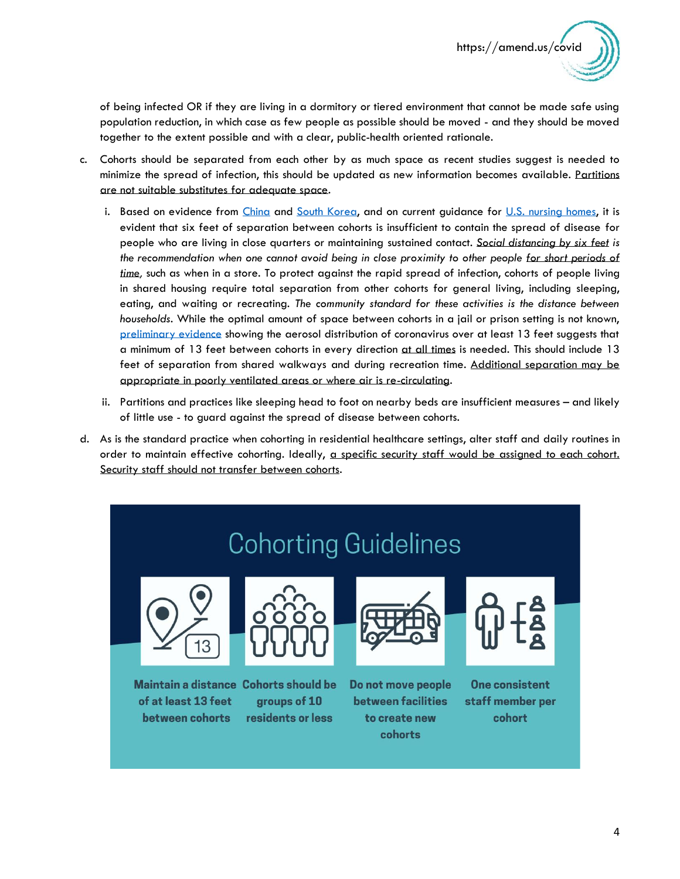of being infected OR if they are living in a dormitory or tiered environment that cannot be made safe using population reduction, in which case as few people as possible should be moved - and they should be moved together to the extent possible and with a clear, public-health oriented rationale.

- c. Cohorts should be separated from each other by as much space as recent studies suggest is needed to minimize the spread of infection, this should be updated as new information becomes available. Partitions are not suitable substitutes for adequate space.
	- i. Based on evidence from [China](https://wwwnc.cdc.gov/eid/article/26/7/20-0764_article) and [South Korea,](https://wwwnc.cdc.gov/eid/article/26/8/20-1274_article) and on current guidance for [U.S. nursing homes,](https://www.cms.gov/newsroom/press-releases/trump-administration-issues-key-recommendations-nursing-homes-state-and-local-governments) it is evident that six feet of separation between cohorts is insufficient to contain the spread of disease for people who are living in close quarters or maintaining sustained contact. *Social distancing by six feet is the recommendation when one cannot avoid being in close proximity to other people for short periods of time,* such as when in a store. To protect against the rapid spread of infection, cohorts of people living in shared housing require total separation from other cohorts for general living, including sleeping, eating, and waiting or recreating. *The community standard for these activities is the distance between households.* While the optimal amount of space between cohorts in a jail or prison setting is not known, [preliminary evidence](https://wwwnc.cdc.gov/eid/article/26/7/20-0885_article) showing the aerosol distribution of coronavirus over at least 13 feet suggests that a minimum of 13 feet between cohorts in every direction at all times is needed. This should include 13 feet of separation from shared walkways and during recreation time. Additional separation may be appropriate in poorly ventilated areas or where air is re-circulating.
	- ii. Partitions and practices like sleeping head to foot on nearby beds are insufficient measures and likely of little use - to guard against the spread of disease between cohorts.
- d. As is the standard practice when cohorting in residential healthcare settings, alter staff and daily routines in order to maintain effective cohorting. Ideally, a specific security staff would be assigned to each cohort. Security staff should not transfer between cohorts.

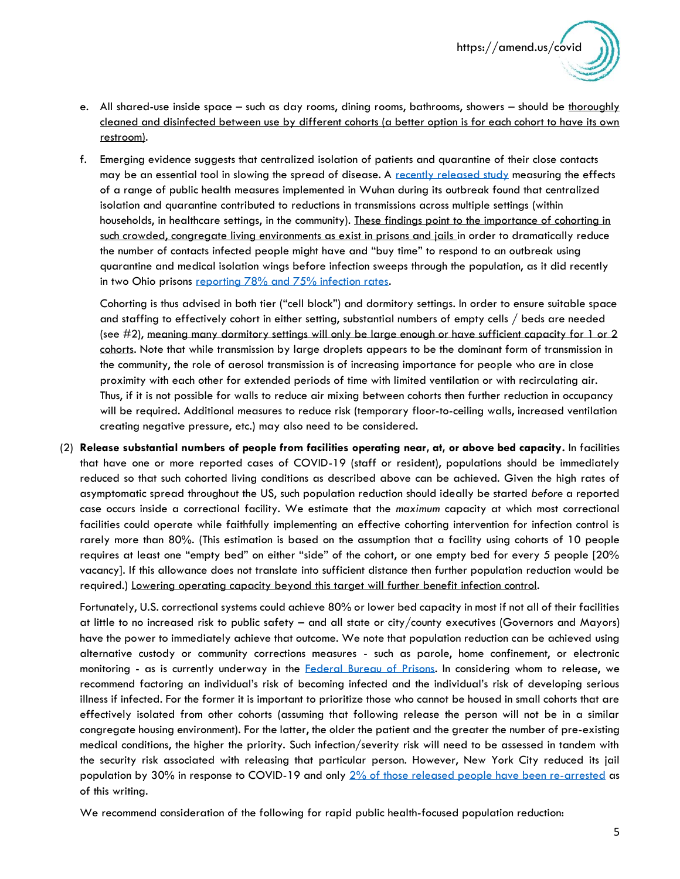- e. All shared-use inside space such as day rooms, dining rooms, bathrooms, showers should be thoroughly cleaned and disinfected between use by different cohorts (a better option is for each cohort to have its own restroom).
- f. Emerging evidence suggests that centralized isolation of patients and quarantine of their close contacts may be an essential tool in slowing the spread of disease. A [recently released study](https://jamanetwork.com/journals/jama/fullarticle/2764658?guestAccessKey=913ec584-d2cf-4175-b583-b60e9cb15412&utm_source=twitter&utm_medium=social_jama&utm_term=3265409166&utm_campaign=article_alert&linkId=86260014) measuring the effects of a range of public health measures implemented in Wuhan during its outbreak found that centralized isolation and quarantine contributed to reductions in transmissions across multiple settings (within households, in healthcare settings, in the community). These findings point to the importance of cohorting in such crowded, congregate living environments as exist in prisons and jails in order to dramatically reduce the number of contacts infected people might have and "buy time" to respond to an outbreak using quarantine and medical isolation wings before infection sweeps through the population, as it did recently in two Ohio prisons [reporting 78% and 75% infection rates.](https://drc.ohio.gov/Portals/0/DRC%20COVID-19%20Information%2004-21-2020%201313.pdf)

Cohorting is thus advised in both tier ("cell block") and dormitory settings. In order to ensure suitable space and staffing to effectively cohort in either setting, substantial numbers of empty cells / beds are needed (see #2), meaning many dormitory settings will only be large enough or have sufficient capacity for 1 or 2 cohorts. Note that while transmission by large droplets appears to be the dominant form of transmission in the community, the role of aerosol transmission is of increasing importance for people who are in close proximity with each other for extended periods of time with limited ventilation or with recirculating air. Thus, if it is not possible for walls to reduce air mixing between cohorts then further reduction in occupancy will be required. Additional measures to reduce risk (temporary floor-to-ceiling walls, increased ventilation creating negative pressure, etc.) may also need to be considered.

(2) **Release substantial numbers of people from facilities operating near, at, or above bed capacity.** In facilities that have one or more reported cases of COVID-19 (staff or resident), populations should be immediately reduced so that such cohorted living conditions as described above can be achieved. Given the high rates of asymptomatic spread throughout the US, such population reduction should ideally be started *before* a reported case occurs inside a correctional facility. We estimate that the *maximum* capacity at which most correctional facilities could operate while faithfully implementing an effective cohorting intervention for infection control is rarely more than 80%. (This estimation is based on the assumption that a facility using cohorts of 10 people requires at least one "empty bed" on either "side" of the cohort, or one empty bed for every 5 people [20% vacancy]. If this allowance does not translate into sufficient distance then further population reduction would be required.) Lowering operating capacity beyond this target will further benefit infection control.

Fortunately, U.S. correctional systems could achieve 80% or lower bed capacity in most if not all of their facilities at little to no increased risk to public safety – and all state or city/county executives (Governors and Mayors) have the power to immediately achieve that outcome. We note that population reduction can be achieved using alternative custody or community corrections measures - such as parole, home confinement, or electronic monitoring - as is currently underway in the **Federal Bureau of Prisons.** In considering whom to release, we recommend factoring an individual's risk of becoming infected and the individual's risk of developing serious illness if infected. For the former it is important to prioritize those who cannot be housed in small cohorts that are effectively isolated from other cohorts (assuming that following release the person will not be in a similar congregate housing environment). For the latter, the older the patient and the greater the number of pre-existing medical conditions, the higher the priority. Such infection/severity risk will need to be assessed in tandem with the security risk associated with releasing that particular person. However, New York City reduced its jail population by 30% in response to COVID-19 and only [2% of those released people have been re-arrested](https://criminaljustice.cityofnewyork.us/wp-content/uploads/2020/05/COVID-factsheet_APRIL-30-2020.pdf) as of this writing.

We recommend consideration of the following for rapid public health-focused population reduction: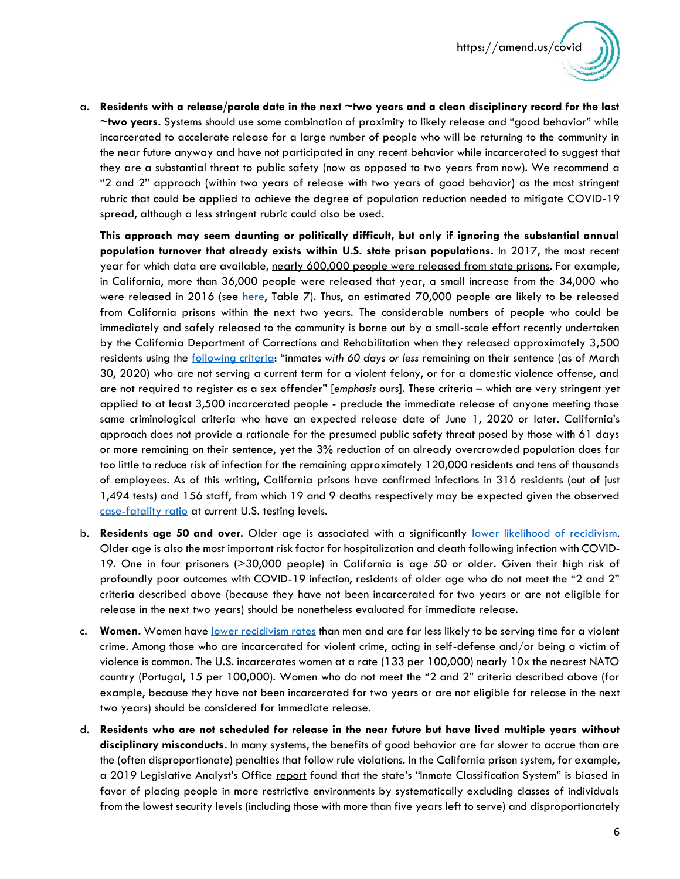

a. **Residents with a release/parole date in the next ~two years and a clean disciplinary record for the last ~two years.** Systems should use some combination of proximity to likely release and "good behavior" while incarcerated to accelerate release for a large number of people who will be returning to the community in the near future anyway and have not participated in any recent behavior while incarcerated to suggest that they are a substantial threat to public safety (now as opposed to two years from now). We recommend a "2 and 2" approach (within two years of release with two years of good behavior) as the most stringent rubric that could be applied to achieve the degree of population reduction needed to mitigate COVID-19 spread, although a less stringent rubric could also be used.

**This approach may seem daunting or politically difficult, but only if ignoring the substantial annual population turnover that already exists within U.S. state prison populations.** In 2017, the most recent year for which data are available, nearly 600,000 people were released from state prisons. For example, in California, more than 36,000 people were released that year, a small increase from the 34,000 who were released in 2016 (see [here,](https://www.bjs.gov/content/pub/pdf/p17.pdf) Table 7). Thus, an estimated 70,000 people are likely to be released from California prisons within the next two years. The considerable numbers of people who could be immediately and safely released to the community is borne out by a small-scale effort recently undertaken by the California Department of Corrections and Rehabilitation when they released approximately 3,500 residents using the [following criteria](https://www.cdcr.ca.gov/3-judge-court-update/): "inmates *with 60 days or less* remaining on their sentence (as of March 30, 2020) who are not serving a current term for a violent felony, or for a domestic violence offense, and are not required to register as a sex offender" [*emphasis* ours]. These criteria – which are very stringent yet applied to at least 3,500 incarcerated people - preclude the immediate release of anyone meeting those same criminological criteria who have an expected release date of June 1, 2020 or later. California's approach does not provide a rationale for the presumed public safety threat posed by those with 61 days or more remaining on their sentence, yet the 3% reduction of an already overcrowded population does far too little to reduce risk of infection for the remaining approximately 120,000 residents and tens of thousands of employees. As of this writing, California prisons have confirmed infections in 316 residents (out of just 1,494 tests) and 156 staff, from which 19 and 9 deaths respectively may be expected given the observed [case-fatality ratio](https://coronavirus.jhu.edu/data/mortality) at current U.S. testing levels.

- b. **Residents age 50 and over.** Older age is associated with a significantly [lower likelihood of recidivism.](https://www.ussc.gov/sites/default/files/pdf/research-and-publications/research-publications/2017/20171207_Recidivism-Age.pdf) Older age is also the most important risk factor for hospitalization and death following infection with COVID-19. One in four prisoners (>30,000 people) in California is age 50 or older. Given their high risk of profoundly poor outcomes with COVID-19 infection, residents of older age who do not meet the "2 and 2" criteria described above (because they have not been incarcerated for two years or are not eligible for release in the next two years) should be nonetheless evaluated for immediate release.
- c. **Women.** Women have [lower recidivism rates](https://cjinvolvedwomen.org/wp-content/uploads/2016/06/Fact-Sheet.pdf) than men and are far less likely to be serving time for a violent crime. Among those who are incarcerated for violent crime, acting in self-defense and/or being a victim of violence is common. The U.S. incarcerates women at a rate (133 per 100,000) nearly 10x the nearest NATO country (Portugal, 15 per 100,000). Women who do not meet the "2 and 2" criteria described above (for example, because they have not been incarcerated for two years or are not eligible for release in the next two years) should be considered for immediate release.
- d. **Residents who are not scheduled for release in the near future but have lived multiple years without disciplinary misconducts.** In many systems, the benefits of good behavior are far slower to accrue than are the (often disproportionate) penalties that follow rule violations. In the California prison system, for example, a 2019 Legislative Analyst's Office [report](https://lao.ca.gov/Publications/Report/4023) found that the state's "Inmate Classification System" is biased in favor of placing people in more restrictive environments by systematically excluding classes of individuals from the lowest security levels (including those with more than five years left to serve) and disproportionately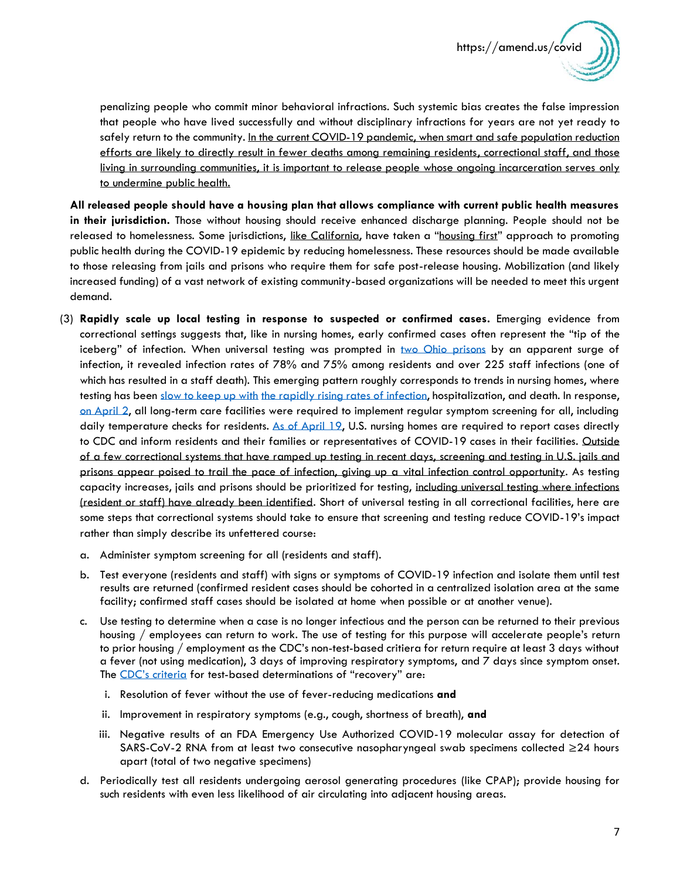

penalizing people who commit minor behavioral infractions. Such systemic bias creates the false impression that people who have lived successfully and without disciplinary infractions for years are not yet ready to safely return to the community. In the current COVID-19 pandemic, when smart and safe population reduction efforts are likely to directly result in fewer deaths among remaining residents, correctional staff, and those living in surrounding communities, it is important to release people whose ongoing incarceration serves only to undermine public health.

**All released people should have a housing plan that allows compliance with current public health measures in their jurisdiction.** Those without housing should receive enhanced discharge planning. People should not be released to homelessness. Some jurisdictions, [like California](https://covid19.ca.gov/housing-and-homelessness/), have taken a "[housing first](https://www.hcd.ca.gov/grants-funding/active-funding/docs/Housing-First-Fact-Sheet.pdf)" approach to promoting public health during the COVID-19 epidemic by reducing homelessness. These resources should be made available to those releasing from jails and prisons who require them for safe post-release housing. Mobilization (and likely increased funding) of a vast network of existing community-based organizations will be needed to meet this urgent demand.

- (3) **Rapidly scale up local testing in response to suspected or confirmed cases.** Emerging evidence from correctional settings suggests that, like in nursing homes, early confirmed cases often represent the "tip of the iceberg" of infection. When universal testing was prompted in [two Ohio prisons](https://drc.ohio.gov/Portals/0/DRC%20COVID-19%20Information%2004-21-2020%201313.pdf) by an apparent surge of infection, it revealed infection rates of 78% and 75% among residents and over 225 staff infections (one of which has resulted in a staff death). This emerging pattern roughly corresponds to trends in nursing homes, where testing has been [slow to keep up with](https://www.nytimes.com/2020/04/11/nyregion/nursing-homes-deaths-coronavirus.html) [the rapidly rising rates](https://www.latimes.com/california/story/2020-04-23/coronavirus-nursing-home-expanded-testing) of infection, hospitalization, and death. In response, [on April 2,](https://www.cms.gov/files/document/4220-covid-19-long-term-care-facility-guidance.pdf) all long-term care facilities were required to implement regular symptom screening for all, including daily temperature checks for residents. [As of April 19,](https://www.cms.gov/newsroom/press-releases/trump-administration-announces-new-nursing-homes-covid-19-transparency-effort) U.S. nursing homes are required to report cases directly to CDC and inform residents and their families or representatives of COVID-19 cases in their facilities. Outside of a few correctional systems that have ramped up testing in recent days, screening and testing in U.S. jails and prisons appear poised to trail the pace of infection, giving up a vital infection control opportunity. As testing capacity increases, jails and prisons should be prioritized for testing, including universal testing where infections (resident or staff) have already been identified. Short of universal testing in all correctional facilities, here are some steps that correctional systems should take to ensure that screening and testing reduce COVID-19's impact rather than simply describe its unfettered course:
	- a. Administer symptom screening for all (residents and staff).
	- b. Test everyone (residents and staff) with signs or symptoms of COVID-19 infection and isolate them until test results are returned (confirmed resident cases should be cohorted in a centralized isolation area at the same facility; confirmed staff cases should be isolated at home when possible or at another venue).
	- c. Use testing to determine when a case is no longer infectious and the person can be returned to their previous housing / employees can return to work. The use of testing for this purpose will accelerate people's return to prior housing / employment as the CDC's non-test-based critiera for return require at least 3 days without a fever (not using medication), 3 days of improving respiratory symptoms, and 7 days since symptom onset. The [CDC's criteria](https://www.cdc.gov/coronavirus/2019-ncov/hcp/disposition-hospitalized-patients.html) for test-based determinations of "recovery" are:
		- i. Resolution of fever without the use of fever-reducing medications **and**
		- ii. Improvement in respiratory symptoms (e.g., cough, shortness of breath), **and**
		- iii. Negative results of an FDA Emergency Use Authorized COVID-19 molecular assay for detection of SARS-CoV-2 RNA from at least two consecutive nasopharyngeal swab specimens collected ≥24 hours apart (total of two negative specimens)
	- d. Periodically test all residents undergoing aerosol generating procedures (like CPAP); provide housing for such residents with even less likelihood of air circulating into adjacent housing areas.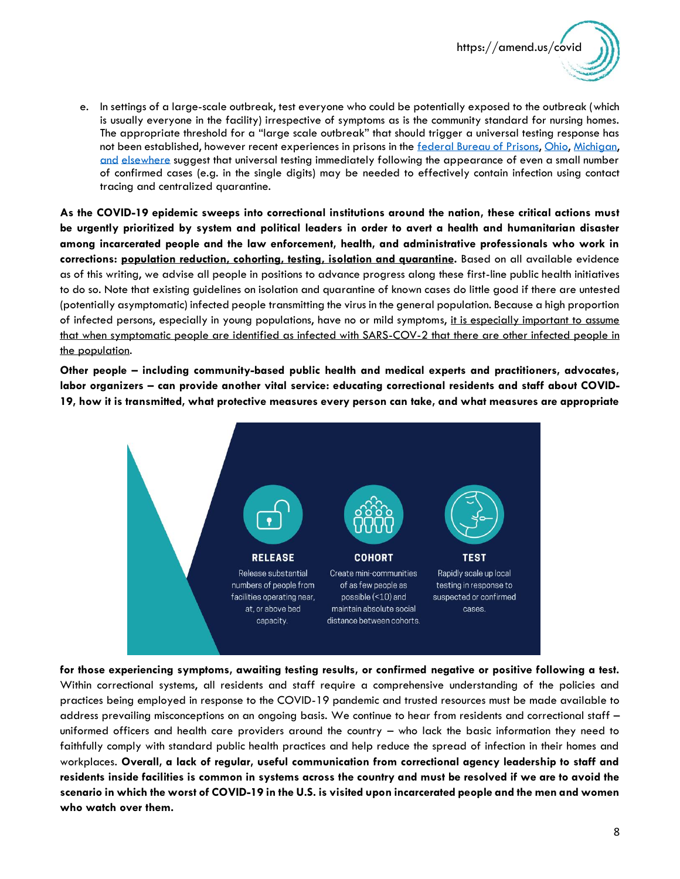

e. In settings of a large-scale outbreak, test everyone who could be potentially exposed to the outbreak (which is usually everyone in the facility) irrespective of symptoms as is the community standard for nursing homes. The appropriate threshold for a "large scale outbreak" that should trigger a universal testing response has not been established, however recent experiences in prisons in the [federal Bureau of Prisons,](https://www.nbcdfw.com/news/coronavirus/covid-19-cases-quadruple-to-132-at-fort-worth-federal-prison/2356912/) [Ohio,](https://www.dispatch.com/news/20200425/marion-prisonrsquos-virus-outbreak-seeps-into-public) [Michigan,](https://wwmt.com/news/local/600-inmates-test-positive-for-covid19-in-one-michigan-prison) [and](https://abc11.com/nc-coronavirus-updates-neuse-correctional-prison-outbreak/6127485/) [elsewhere](https://www.themarshallproject.org/2020/04/24/these-prisons-are-doing-mass-testing-for-covid-19-and-finding-mass-infections) suggest that universal testing immediately following the appearance of even a small number of confirmed cases (e.g. in the single digits) may be needed to effectively contain infection using contact tracing and centralized quarantine.

**As the COVID-19 epidemic sweeps into correctional institutions around the nation, these critical actions must be urgently prioritized by system and political leaders in order to avert a health and humanitarian disaster among incarcerated people and the law enforcement, health, and administrative professionals who work in corrections: population reduction, cohorting, testing, isolation and quarantine.** Based on all available evidence as of this writing, we advise all people in positions to advance progress along these first-line public health initiatives to do so. Note that existing guidelines on isolation and quarantine of known cases do little good if there are untested (potentially asymptomatic) infected people transmitting the virus in the general population. Because a high proportion of infected persons, especially in young populations, have no or mild symptoms, it is especially important to assume that when symptomatic people are identified as infected with SARS-COV-2 that there are other infected people in the population.

**Other people – including community-based public health and medical experts and practitioners, advocates, labor organizers – can provide another vital service: educating correctional residents and staff about COVID-19, how it is transmitted, what protective measures every person can take, and what measures are appropriate** 



**for those experiencing symptoms, awaiting testing results, or confirmed negative or positive following a test.**  Within correctional systems, all residents and staff require a comprehensive understanding of the policies and practices being employed in response to the COVID-19 pandemic and trusted resources must be made available to address prevailing misconceptions on an ongoing basis. We continue to hear from residents and correctional staff – uniformed officers and health care providers around the country – who lack the basic information they need to faithfully comply with standard public health practices and help reduce the spread of infection in their homes and workplaces. **Overall, a lack of regular, useful communication from correctional agency leadership to staff and residents inside facilities is common in systems across the country and must be resolved if we are to avoid the scenario in which the worst of COVID-19 in the U.S. is visited upon incarcerated people and the men and women who watch over them.**